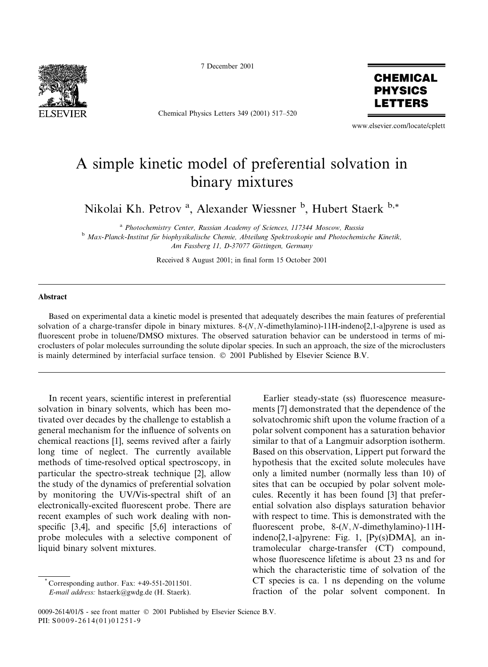

7 December 2001

Chemical Physics Letters 349 (2001) 517-520



www.elsevier.com/locate/cplett

## A simple kinetic model of preferential solvation in binary mixtures

Nikolai Kh. Petrov<sup>a</sup>, Alexander Wiessner<sup>b</sup>, Hubert Staerk<sup>b,\*</sup>

<sup>a</sup> Photochemistry Center, Russian Academy of Sciences, 117344 Moscow, Russia <sup>b</sup> Max-Planck-Institut für biophysikalische Chemie, Abteilung Spektroskopie und Photochemische Kinetik, Am Fassberg 11, D-37077 Göttingen, Germany

Received 8 August 2001; in final form 15 October 2001

## Abstract

Based on experimental data a kinetic model is presented that adequately describes the main features of preferential solvation of a charge-transfer dipole in binary mixtures. 8-(N, N-dimethylamino)-11H-indeno[2,1-a]pyrene is used as fluorescent probe in toluene/DMSO mixtures. The observed saturation behavior can be understood in terms of microclusters of polar molecules surrounding the solute dipolar species. In such an approach, the size of the microclusters is mainly determined by interfacial surface tension. © 2001 Published by Elsevier Science B.V.

In recent years, scientific interest in preferential solvation in binary solvents, which has been motivated over decades by the challenge to establish a general mechanism for the influence of solvents on chemical reactions [1], seems revived after a fairly long time of neglect. The currently available methods of time-resolved optical spectroscopy, in particular the spectro-streak technique [2], allow the study of the dynamics of preferential solvation by monitoring the UV/Vis-spectral shift of an electronically-excited fluorescent probe. There are recent examples of such work dealing with nonspecific [3.4], and specific [5.6] interactions of probe molecules with a selective component of liquid binary solvent mixtures.

Corresponding author. Fax: +49-551-2011501.

E-mail address: hstaerk@gwdg.de (H. Staerk).

Earlier steady-state (ss) fluorescence measurements [7] demonstrated that the dependence of the solvatochromic shift upon the volume fraction of a polar solvent component has a saturation behavior similar to that of a Langmuir adsorption isotherm. Based on this observation, Lippert put forward the hypothesis that the excited solute molecules have only a limited number (normally less than 10) of sites that can be occupied by polar solvent molecules. Recently it has been found [3] that preferential solvation also displays saturation behavior with respect to time. This is demonstrated with the fluorescent probe,  $8-(N, N$ -dimethylamino)-11Hindeno[2,1-a]pyrene: Fig. 1, [Py(s)DMA], an intramolecular charge-transfer (CT) compound, whose fluorescence lifetime is about 23 ns and for which the characteristic time of solvation of the CT species is ca. 1 ns depending on the volume fraction of the polar solvent component. In

<sup>0009-2614/01/\$ -</sup> see front matter © 2001 Published by Elsevier Science B.V. PII: S0009-2614(01)01251-9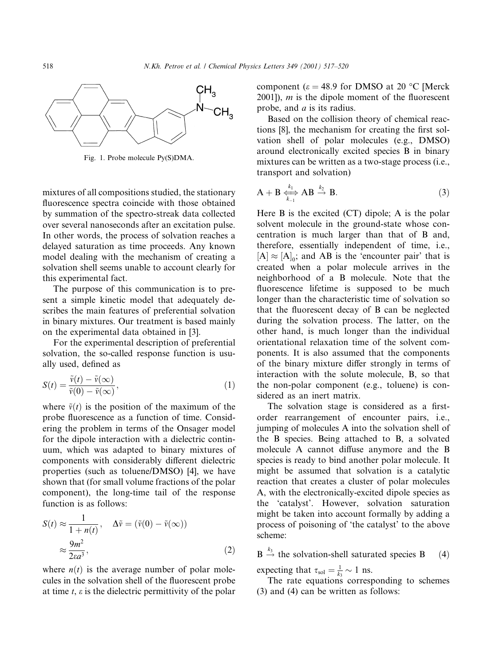

Fig. 1. Probe molecule Py(S)DMA.

mixtures of all compositions studied, the stationary fluorescence spectra coincide with those obtained by summation of the spectro-streak data collected over several nanoseconds after an excitation pulse. In other words, the process of solvation reaches a delayed saturation as time proceeds. Any known model dealing with the mechanism of creating a solvation shell seems unable to account clearly for this experimental fact.

The purpose of this communication is to present a simple kinetic model that adequately describes the main features of preferential solvation in binary mixtures. Our treatment is based mainly on the experimental data obtained in [3].

For the experimental description of preferential solvation, the so-called response function is usually used, defined as

$$
S(t) = \frac{\tilde{v}(t) - \tilde{v}(\infty)}{\tilde{v}(0) - \tilde{v}(\infty)},
$$
\n(1)

where  $\tilde{v}(t)$  is the position of the maximum of the probe fluorescence as a function of time. Considering the problem in terms of the Onsager model for the dipole interaction with a dielectric continuum, which was adapted to binary mixtures of components with considerably different dielectric properties (such as toluene/DMSO) [4], we have shown that (for small volume fractions of the polar component), the long-time tail of the response function is as follows:

$$
S(t) \approx \frac{1}{1 + n(t)}, \quad \Delta \tilde{v} = (\tilde{v}(0) - \tilde{v}(\infty))
$$

$$
\approx \frac{9m^2}{2\epsilon a^3},
$$
 (2)

where  $n(t)$  is the average number of polar molecules in the solvation shell of the fluorescent probe at time t,  $\varepsilon$  is the dielectric permittivity of the polar component ( $\epsilon$  = 48.9 for DMSO at 20 °C [Merck]  $2001$ ], *m* is the dipole moment of the fluorescent probe, and  $a$  is its radius.

Based on the collision theory of chemical reactions [8], the mechanism for creating the first solvation shell of polar molecules (e.g., DMSO) around electronically excited species B in binary mixtures can be written as a two-stage process (*i.e.*, transport and solvation)

$$
A + B \underset{k=1}{\overset{k_1}{\longleftrightarrow}} AB \overset{k_2}{\rightarrow} B. \tag{3}
$$

Here  $B$  is the excited  $(CT)$  dipole; A is the polar solvent molecule in the ground-state whose concentration is much larger than that of B and, therefore, essentially independent of time, i.e.,  $[A] \approx [A]_0$ ; and AB is the 'encounter pair' that is created when a polar molecule arrives in the neighborhood of a B molecule. Note that the fluorescence lifetime is supposed to be much longer than the characteristic time of solvation so that the fluorescent decay of B can be neglected during the solvation process. The latter, on the other hand, is much longer than the individual orientational relaxation time of the solvent components. It is also assumed that the components of the binary mixture differ strongly in terms of interaction with the solute molecule, B, so that the non-polar component (e.g., toluene) is considered as an inert matrix.

The solvation stage is considered as a firstorder rearrangement of encounter pairs, i.e., jumping of molecules A into the solvation shell of the B species. Being attached to B, a solvated molecule A cannot diffuse anymore and the B species is ready to bind another polar molecule. It might be assumed that solvation is a catalytic reaction that creates a cluster of polar molecules A, with the electronically-excited dipole species as the 'catalyst'. However, solvation saturation might be taken into account formally by adding a process of poisoning of 'the catalyst' to the above scheme:

 $B \stackrel{k_3}{\rightarrow}$  the solvation-shell saturated species B  $(4)$ 

expecting that  $\tau_{sol} = \frac{1}{k_3} \sim 1$  ns.<br>The rate equations corresponding to schemes  $(3)$  and  $(4)$  can be written as follows: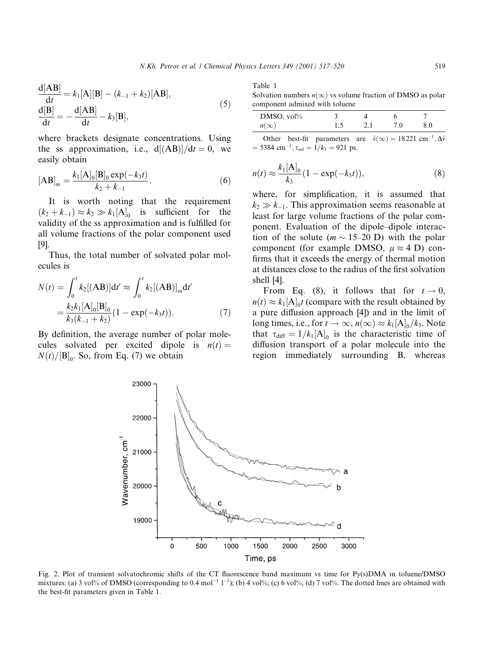$$
\frac{\mathrm{d}[AB]}{\mathrm{d}t} = k_1[A][B] - (k_{-1} + k_2)[AB],
$$
  
\n
$$
\frac{\mathrm{d}[B]}{\mathrm{d}t} = -\frac{\mathrm{d}[AB]}{\mathrm{d}t} - k_3[B],
$$
\n(5)

where brackets designate concentrations. Using the ss approximation, i.e.,  $d[(AB)]/dt = 0$ , we easily obtain

$$
[AB]_{ss} = \frac{k_1 [A]_0 [B]_0 \exp(-k_3 t)}{k_2 + k_{-1}}.
$$
 (6)

It is worth noting that the requirement  $(k_2 + k_{-1}) \approx k_2 \gg k_1[A]_0$  is sufficient for the validity of the ss approximation and is fulfilled for all volume fractions of the polar component used 191.

Thus, the total number of solvated polar molecules is

$$
N(t) = \int_0^t k_2 [(\mathbf{AB})] dt' \approx \int_0^t k_2 [(\mathbf{AB})]_{ss} dt'
$$
  
=  $\frac{k_2 k_1 [\mathbf{A}]_0 [\mathbf{B}]_0}{k_3 (k_{-1} + k_2)} (1 - \exp(-k_3 t)).$  (7)

By definition, the average number of polar molecules solvated per excited dipole is  $n(t) =$  $N(t)/[\mathbf{B}]_0$ . So, from Eq. (7) we obtain

Table 1

Solvation numbers  $n(\infty)$  vs volume fraction of DMSO as polar component admixed with toluene

| $n(\infty)$ |  |
|-------------|--|

Other best-fit parameters are  $\tilde{v}(\infty) = 18221 \text{ cm}^{-1}, \Delta \tilde{v}$  $=$  5384 cm<sup>-1</sup>,  $\tau_{sol} = 1/k_3 = 921$  ps.

$$
n(t) \approx \frac{k_1[A]_0}{k_3} (1 - \exp(-k_3 t)),
$$
\n(8)

where, for simplification, it is assumed that  $k_2 \gg k_{-1}$ . This approximation seems reasonable at least for large volume fractions of the polar component. Evaluation of the dipole-dipole interaction of the solute  $(m \sim 15{\text -}20 \text{ D})$  with the polar component (for example DMSO,  $\mu \approx 4$  D) confirms that it exceeds the energy of thermal motion at distances close to the radius of the first solvation shell  $[4]$ .

From Eq. (8), it follows that for  $t \to 0$ ,  $n(t) \approx k_1 \Delta_0 t$  (compare with the result obtained by a pure diffusion approach [4]) and in the limit of long times, i.e., for  $t \to \infty$ ,  $n(\infty) \approx k_1[A_0/k_3]$ . Note that  $\tau_{diff} = 1/k_1[A]_0$  is the characteristic time of diffusion transport of a polar molecule into the region immediately surrounding B, whereas



Fig. 2. Plot of transient solvatochromic shifts of the CT fluorescence band maximum vs time for Py(s)DMA in toluene/DMSO mixtures: (a) 3 vol% of DMSO (corresponding to 0.4 mol<sup>-1</sup>  $1^{-1}$ ); (b) 4 vol%; (c) 6 vol%; (d) 7 vol%. The dotted lines are obtained with the best-fit parameters given in Table 1.